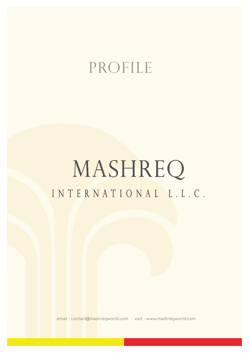## PROFILE

# MASHREQ INTERNATIONAL L.L.C.

email : contact@mashreqworld.com visit : www.mashreqworld.com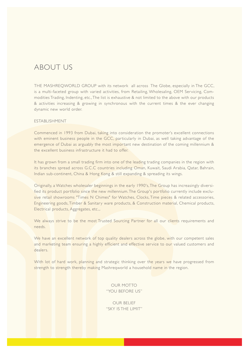### ABOUT US

THE MASHREQWORLD GROUP with its network all across The Globe, especially in The GCC, is a multi-faceted group with varied activities, from Retailing, Wholesaling, OEM Servicing, Commodities Trading, Indenting, etc., The list is exhaustive & not limited to the above with our products & activities increasing & growing in synchronous with the current times & the ever changing dynamic new world order.

#### ESTABLISHMENT

Commenced in 1993 from Dubai, taking into consideration the promoter's excellent connections with eminent business people in the GCC, particularly in Dubai, as well taking advantage of the emergence of Dubai as arguably the most important new destination of the coming millennium & the excellent business infrastructure it had to offer.

It has grown from a small trading firm into one of the leading trading companies in the region with its branches spread across G.C.C countries including Oman, Kuwait, Saudi Arabia, Qatar, Bahrain, Indian sub-continent, China & Hong Kong & still expanding & spreading its wings.

Originally, a Watches wholesaler beginnings in the early 1990's, The Group has increasingly diversified its product portfolio since the new millennium. The Group's portfolio currently include exclusive retail showrooms "Times N Chimes" for Watches, Clocks, Time pieces & related accessories, Engineering goods, Timber & Sanitary ware products, & Construction material, Chemical products, Electrical products, Aggregates, etc.,.

We always strive to be the most Trusted Sourcing Partner for all our clients requirements and needs.

We have an excellent network of top quality dealers across the globe, with our competent sales and marketing team ensuring a highly efficient and effective service to our valued customers and dealers.

With lot of hard work, planning and strategic thinking over the years we have progressed from strength to strength thereby making Mashreqworld a household name in the region.

> OUR MOTTO "YOU BEFORE US"

> OUR BELIEF "SKY IS THE LIMIT"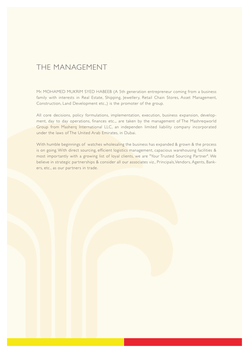### THE MANAGEMENT

Mr. MOHAMED MUKRIM SYED HABEEB (A 5th generation entrepreneur coming from a business family with interests in Real Estate, Shipping, Jewellery, Retail Chain Stores, Asset Management, Construction, Land Development etc.,) is the promoter of the group.

All core decisions, policy formulations, implementation, execution, business expansion, development, day to day operations, finances etc.,. are taken by the management of The Mashreqworld Group from Masherq International LLC, an independen limited liability company incorporated under the laws of The United Arab Emirates, in Dubai.

With humble beginnings of watches wholesaling the business has expanded & grown & the process is on going. With direct sourcing, efficient logistics management, capacious warehousing facilities & most importantly with a growing list of loyal clients, we are "Your Trusted Sourcing Partner". We believe in strategic partnerships & consider all our associates viz., Principals,Vendors, Agents, Bankers, etc., as our partners in trade.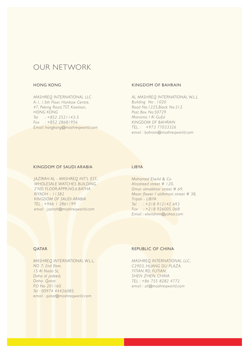### OUR NETWORK

#### *MASHREQ INTERNATIONAL LLC A-1, 13th Floor, Hankow Centre, 47, Peking Road, TST, Kowloon, HONG KONG Tel : +852 2521143-5 Fax : +852 28681956 Email: hongkong@mashreqworld.com*

#### HONG KONG KINGDOM OF BAHRAIN

*AL MASHREQ INTERNATIONAL W.L.L Building No : 1020 Road No:1225,Block No:312 Post Box No:50729 Manama / Al Guful KINGDOM OF BAHRAIN TEL : +973 77033326 email : bahrain@mashreqworld.com*

#### KINGDOM OF SAUDI ARABIA

*JAZIRAH AL - MASHREQ INT'L EST., WHOLESALE WATCHES BUILDING, 2'ND FLOOR,APPR,NO,6.BATHA RIYADH - 11382 KINGDOM OF SAUDI ARABIA TEL : +966 1 2861199 email : jazirah@mashreqworld.com*

#### LIBYA

*Mohamed Elwild & Co. Alrasheed street # 120, Omar almokhtar street # 69, Moon flower / aldhmani street # 38, Tripoli - LIBYA Tel : +218 912142 693 Fax : +218 926005 068 Email : elwildmm@yahoo.com*

#### QATAR

*MASHREQ INTERNATIONAL W.L.L, NO 7; 2nd floor, 15 Al Nada St, Doha al jadeed, Doha- Qatar. P.O No 201160. Tel : 00974 44426085. email : qatar@mashreqworld.com*

#### REPUBLIC OF CHINA

*MASHREQ INTERNATIONAL LLC, C2903, HUANG DU PLAZA, YITIAN RD, FUTIAN, SHEN ZHEN, CHINA TEL : +86 755 8282 4772 email : ali@mashreqworld.com*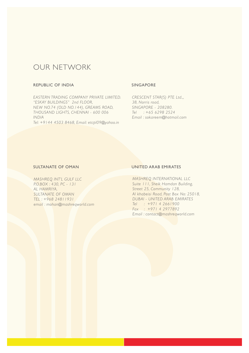### OUR NETWORK

### REPUBLIC OF INDIA

*EASTERN TRADING COMPANY PRIVATE LIMITED. "ESKAY BUILDINGS" 2nd FLOOR, NEW NO.74 (OLD NO.144), GREAMS ROAD, THOUSAND LIGHTS, CHENNAI - 600 006 INDIA Tel: +9144 4503 8468, Email: etcpl09@yahoo.in*

#### SINGAPORE

*CRESCENT STAR(S) PTE Ltd.,, 38, Norris road, SINGAPORE - 208280. Tel : +65 6298 2524 Email : sokareem@hotmail.com*

#### SULTANATE OF OMAN

*MASHREQ INT'L GULF LLC P.O.BOX : 430, PC - 131 AL HAMRIYA, SULTANATE OF OMAN TEL : +968 24811931 email : mohan@mashreqworld.com*

#### UNITED ARAB EMIRATES

*MASHREQ INTERNATIONAL LLC Suite 111, Sheik Hamdan Building, Street 25, Community 128, Al khabeisi Road, Post Box No: 25018, DUBAI - UNITED ARAB EMIRATES Tel : +971 4 2661900 Fax : +971 4 2977892 Email : contact@mashreqworld.com*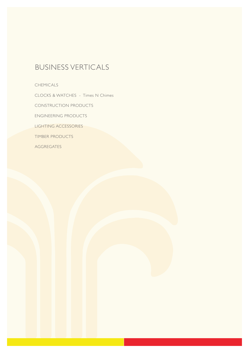### BUSINESS VERTICALS

CHEMICALS

CLOCKS & WATCHES - Times N Chimes

CONSTRUCTION PRODUCTS

ENGINEERING PRODUCTS

LIGHTING ACCESSORIES

TIMBER PRODUCTS

AGGREGATES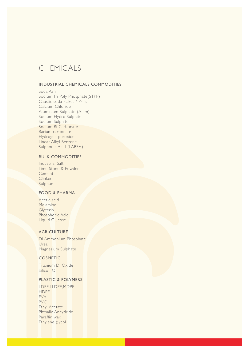### CHEMICALS

### INDUSTRIAL CHEMICALS COMMODITIES

Soda Ash Sodium Tri Poly Phosphate(STPP) Caustic soda Flakes / Prills Calcium Chloride Aluminium Sulphate (Alum) Sodium Hydro Sulphite Sodium Sulphite Sodium Bi Carbonate Barium carbonate Hydrogen peroxide Linear Alkyl Benzene Sulphonic Acid (LABSA)

### BULK COMMODITIES

Industrial Salt Lime Stone & Powder Cement Clinker Sulphur

### FOOD & PHARMA

Acetic acid **Melamine Glycerin** Phosphoric Acid Liquid Glucose

### **AGRICULTURE**

Di Ammonium Phosphate Urea Magnesium Sulphate

#### COSMETIC

Titanium Di Oxide Silicon Oil

### PLASTIC & POLYMERS

|                      | LDPE,LLDPE,MDPE    |  |
|----------------------|--------------------|--|
| <b>HDPE</b>          |                    |  |
| <b>EVA</b>           |                    |  |
| <b>PVC</b>           |                    |  |
| <b>Ethyl Acetate</b> |                    |  |
|                      | Phthalic Anhydride |  |
| Paraffin wax         |                    |  |
| Ethylene glycol      |                    |  |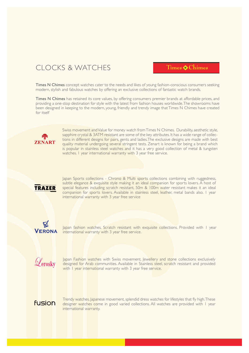### CLOCKS & WATCHES

### Times Chimes

Times N Chimes concept watches cater to the needs and likes of young fashion-conscious consumers seeking modern, stylish and fabulous watches by offering an exclusive collections of fantastic watch brands.

Times N Chimes has retained its core values, by offering consumers premier brands at affordable prices, and providing a one-stop destination for style with the latest from fashion houses worldwide. The showrooms have been designed in keeping to the modern, young, friendly and trendy image that Times N Chimes have created for itself



Swiss movement and Value for money watch from Times N Chimes. Durability, aesthetic style, sapphire crystal & 3ATM resistant are some of the key attributes. It has a wide range of collections in different designs for pairs, gents and ladies.The exclusive designs are made with best quality material undergoing several stringent tests. Zenart is known for being a brand which is popular in stainless steel watches and it has a very good collection of metal & tungsten watches. 1 year international warranty with 3 year free service.



Japan Sports collections - Chrono & Multi sports collections combining with ruggedness, subtle elegance & exquisite style making it an ideal companion for sports lovers. A host of special features including scratch resistant, 50m & 100m water resistant makes it an ideal companion for sports lovers. Available in stainless steel, leather, metal bands also. I year international warranty with 3 year free service



Japan fashion watches. Scratch resistant with exquisite collections. Provided with 1 year international warranty with 3 year free service.



Japan Fashion watches with Swiss movement. Jewellery and stone collections exclusively designed for Arab communities. Available in Stainless steel, scratch resistant and provided with I year international warranty with 3 year free service.

### **fusion**

Trendy watches. Japanese movement, splendid dress watches for lifestyles that fly high. These designer watches come in good varied collections. All watches are provided with 1 year international warranty.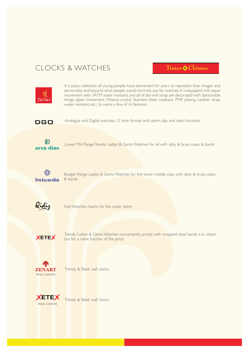### CLOCKS & WATCHES

Times Chimes



It is Julius collection all young people have demanded for years to represent their images and personality and beyond what people would normally pay for watches. It is equipped with Japan movement with 3ATM water resistant, and all of dial and strap are decorated with fashionable things. Japan movement, Mineral crystal, Stainless Steel caseback, PNP plating, Leather strap, water resistant, etc., to name a few of its features.

**DGO** 

Analogue and Digital watches, 12 time format with alarm, day and date functions



Lower Mid Range Trendy Ladies & Gents Watches for all with alloy & brass cases & bands



Budget Range Ladies & Gents Watches for the lower middle class with alloy & brass cases & bands



Kids Watches mainly for the under teens



Trendy Ladies & Gents Watches conveniently priced with wrapped steel bands a la citizen but for a mere fraction of the price



Trendy & Sleek wall clocks



Trendy & Sleek wall clocks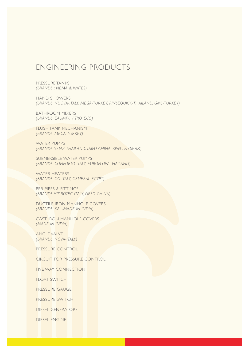### ENGINEERING PRODUCTS

PRESSURE TANKS *(BRANDS : NEMA & WATES)* 

HAND SHOWERS *(BRANDS: NUOVA-ITALY, MEGA-TURKEY, RINSEQUICK-THAILAND, GMS-TURKEY)*

BATHROOM MIXERS *(BRANDS: EAUMIX, VITRO, ECO)*

FLUSH TANK MECHANISM *(BRANDS: MEGA-TURKEY)*

WATER PUMPS *(BRANDS: VENZ-THAILAND, TAIFU-CHINA, KIWI , FLOMAX)*

SUBMERSIBLE WATER PUMPS *(BRANDS: CONFORTO-ITALY, EUROFLOW-THAILAND)*

WATER HEATERS *(BRANDS: GG-ITALY, GENERAL-EGYPT)*

PPR PIPES & FITTINGS *(BRANDS:HIDROTEC-ITALY, DESO-CHINA)*

DUCTILE IRON MANHOLE COVERS *(BRANDS: KAJ -MADE IN INDIA)*

CAST IRON MANHOLE COVERS *(MADE IN INDIA)*

ANGLE VALVE *(BRANDS: NOVA-ITALY)*

PRESSURE CONTROL

CIRCUIT FOR PRESSURE CONTROL

FIVE WAY CONNECTION

FLOAT SWITCH

PRESSURE GAUGE

PRESSURE SWITCH

DIESEL GENERATORS

DIESEL ENGINE